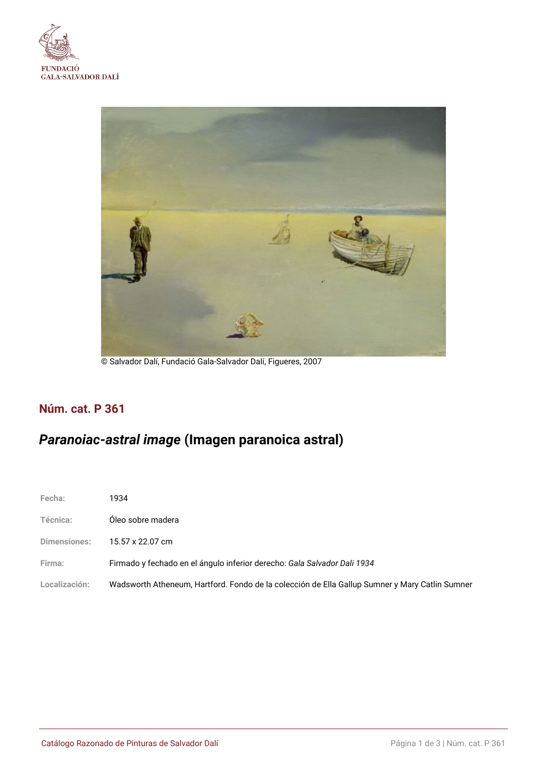



© Salvador Dalí, Fundació Gala-Salvador Dalí, Figueres, 2007

## **Núm. cat. P 361**

# *Paranoiac-astral image* **(Imagen paranoica astral)**

| Fecha:        | 1934                                                                                           |
|---------------|------------------------------------------------------------------------------------------------|
| Técnica:      | Óleo sobre madera                                                                              |
| Dimensiones:  | 15.57 x 22.07 cm                                                                               |
| Firma:        | Firmado y fechado en el ángulo inferior derecho: Gala Salvador Dali 1934                       |
| Localización: | Wadsworth Atheneum, Hartford. Fondo de la colección de Ella Gallup Sumner y Mary Catlin Sumner |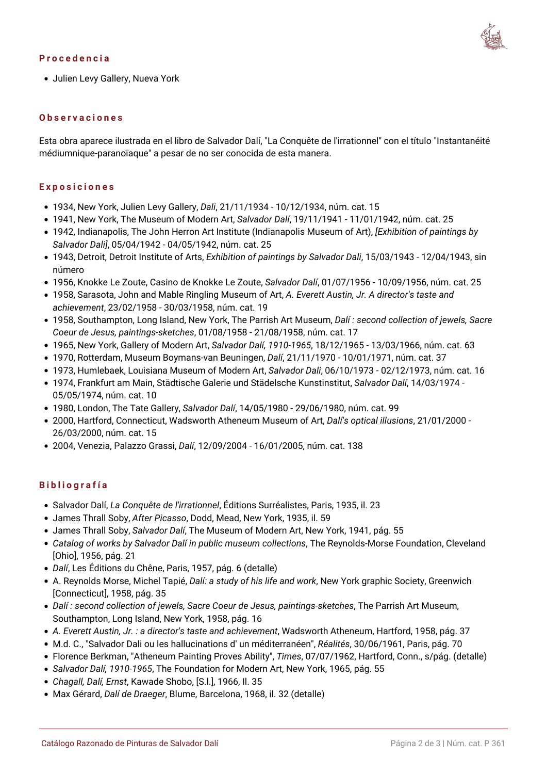#### **Procedencia**



Julien Levy Gallery, Nueva York

#### **Observaciones**

Esta obra aparece ilustrada en el libro de Salvador Dalí, "La Conquête de l'irrationnel" con el título "Instantanéité médiumnique-paranoïaque" a pesar de no ser conocida de esta manera.

#### **Exposiciones**

- 1934, New York, Julien Levy Gallery, *Dali*, 21/11/1934 10/12/1934, núm. cat. 15
- 1941, New York, The Museum of Modern Art, *Salvador Dalí*, 19/11/1941 11/01/1942, núm. cat. 25
- 1942, Indianapolis, The John Herron Art Institute (Indianapolis Museum of Art), *[Exhibition of paintings by Salvador Dali]*, 05/04/1942 - 04/05/1942, núm. cat. 25
- 1943, Detroit, Detroit Institute of Arts, *Exhibition of paintings by Salvador Dali*, 15/03/1943 12/04/1943, sin número
- 1956, Knokke Le Zoute, Casino de Knokke Le Zoute, *Salvador Dalí*, 01/07/1956 10/09/1956, núm. cat. 25
- 1958, Sarasota, John and Mable Ringling Museum of Art, *A. Everett Austin, Jr. A director's taste and achievement*, 23/02/1958 - 30/03/1958, núm. cat. 19
- 1958, Southampton, Long Island, New York, The Parrish Art Museum, *Dalí : second collection of jewels, Sacre Coeur de Jesus, paintings-sketches*, 01/08/1958 - 21/08/1958, núm. cat. 17
- 1965, New York, Gallery of Modern Art, *Salvador Dalí, 1910-1965*, 18/12/1965 13/03/1966, núm. cat. 63
- 1970, Rotterdam, Museum Boymans-van Beuningen, *Dalí*, 21/11/1970 10/01/1971, núm. cat. 37
- 1973, Humlebaek, Louisiana Museum of Modern Art, *Salvador Dali*, 06/10/1973 02/12/1973, núm. cat. 16
- 1974, Frankfurt am Main, Städtische Galerie und Städelsche Kunstinstitut, *Salvador Dalí*, 14/03/1974 05/05/1974, núm. cat. 10
- 1980, London, The Tate Gallery, *Salvador Dalí*, 14/05/1980 29/06/1980, núm. cat. 99
- 2000, Hartford, Connecticut, Wadsworth Atheneum Museum of Art, *Dalí's optical illusions*, 21/01/2000 26/03/2000, núm. cat. 15
- 2004, Venezia, Palazzo Grassi, *Dalí*, 12/09/2004 16/01/2005, núm. cat. 138

### **Bibliografía**

- Salvador Dalí, *La Conquête de l'irrationnel*, Éditions Surréalistes, Paris, 1935, il. 23
- James Thrall Soby, *After Picasso*, Dodd, Mead, New York, 1935, il. 59
- James Thrall Soby, *Salvador Dalí*, The Museum of Modern Art, New York, 1941, pág. 55
- *Catalog of works by Salvador Dalí in public museum collections*, The Reynolds-Morse Foundation, Cleveland [Ohio], 1956, pág. 21
- *Dalí*, Les Éditions du Chêne, Paris, 1957, pág. 6 (detalle)
- A. Reynolds Morse, Michel Tapié, *Dalí: a study of his life and work*, New York graphic Society, Greenwich [Connecticut], 1958, pág. 35
- *Dalí : second collection of jewels, Sacre Coeur de Jesus, paintings-sketches*, The Parrish Art Museum, Southampton, Long Island, New York, 1958, pág. 16
- *A. Everett Austin, Jr. : a director's taste and achievement*, Wadsworth Atheneum, Hartford, 1958, pág. 37
- M.d. C., "Salvador Dali ou les hallucinations d' un méditerranéen", *Réalités*, 30/06/1961, Paris, pág. 70
- Florence Berkman, "Atheneum Painting Proves Ability", *Times*, 07/07/1962, Hartford, Conn., s/pág. (detalle)
- *Salvador Dalí, 1910-1965*, The Foundation for Modern Art, New York, 1965, pág. 55
- *Chagall, Dalí, Ernst*, Kawade Shobo, [S.l.], 1966, Il. 35
- Max Gérard, *Dalí de Draeger*, Blume, Barcelona, 1968, il. 32 (detalle)